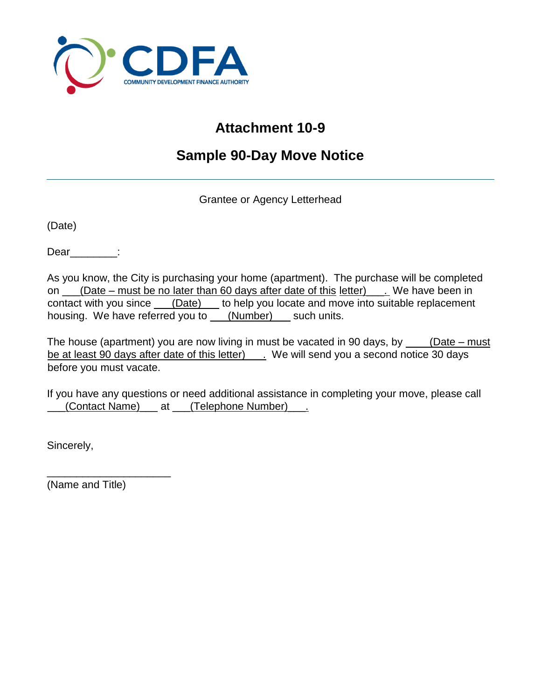

## **Attachment 10-9**

## **Sample 90-Day Move Notice**

Grantee or Agency Letterhead

(Date)

Dear :

As you know, the City is purchasing your home (apartment). The purchase will be completed on \_\_\_(Date – must be no later than 60 days after date of this letter)\_\_\_. We have been in contact with you since \_\_\_(Date) \_\_ to help you locate and move into suitable replacement housing. We have referred you to \_\_\_(Number) \_\_ such units.

The house (apartment) you are now living in must be vacated in 90 days, by  $\_\_\_\_\_\_\_\_ (Date - must$ be at least 90 days after date of this letter) \_\_\_. We will send you a second notice 30 days before you must vacate.

If you have any questions or need additional assistance in completing your move, please call (Contact Name) \_\_\_ at \_\_\_(Telephone Number) \_\_\_.

Sincerely,

(Name and Title)

\_\_\_\_\_\_\_\_\_\_\_\_\_\_\_\_\_\_\_\_\_